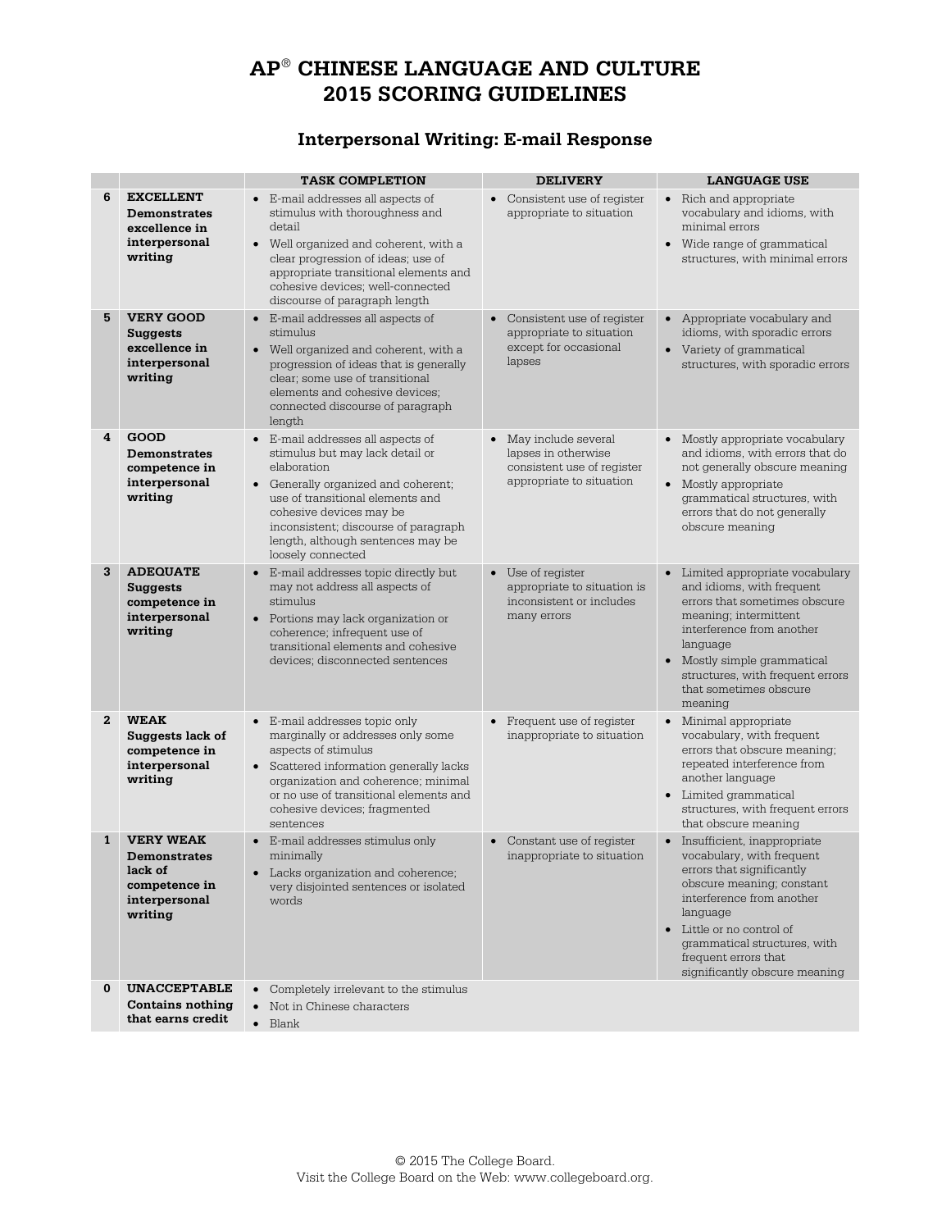# **AP**® **CHINESE LANGUAGE AND CULTURE 2015 SCORING GUIDELINES**

### **Interpersonal Writing: E-mail Response**

|              |                                                                                                 | <b>TASK COMPLETION</b>                                                                                                                                                                                                                                                                      | <b>DELIVERY</b>                                                                                        | <b>LANGUAGE USE</b>                                                                                                                                                                                                                                                                         |
|--------------|-------------------------------------------------------------------------------------------------|---------------------------------------------------------------------------------------------------------------------------------------------------------------------------------------------------------------------------------------------------------------------------------------------|--------------------------------------------------------------------------------------------------------|---------------------------------------------------------------------------------------------------------------------------------------------------------------------------------------------------------------------------------------------------------------------------------------------|
| 6            | <b>EXCELLENT</b><br><b>Demonstrates</b><br>excellence in<br>interpersonal<br>writing            | • E-mail addresses all aspects of<br>stimulus with thoroughness and<br>detail<br>• Well organized and coherent, with a<br>clear progression of ideas; use of<br>appropriate transitional elements and<br>cohesive devices; well-connected<br>discourse of paragraph length                  | • Consistent use of register<br>appropriate to situation                                               | • Rich and appropriate<br>vocabulary and idioms, with<br>minimal errors<br>• Wide range of grammatical<br>structures, with minimal errors                                                                                                                                                   |
| 5            | <b>VERY GOOD</b><br>Suggests<br>excellence in<br>interpersonal<br>writing                       | • E-mail addresses all aspects of<br>stimulus<br>Well organized and coherent, with a<br>$\bullet$<br>progression of ideas that is generally<br>clear; some use of transitional<br>elements and cohesive devices:<br>connected discourse of paragraph<br>length                              | Consistent use of register<br>$\bullet$<br>appropriate to situation<br>except for occasional<br>lapses | • Appropriate vocabulary and<br>idioms, with sporadic errors<br>• Variety of grammatical<br>structures, with sporadic errors                                                                                                                                                                |
| 4            | <b>GOOD</b><br><b>Demonstrates</b><br>competence in<br>interpersonal<br>writing                 | • E-mail addresses all aspects of<br>stimulus but may lack detail or<br>elaboration<br>• Generally organized and coherent;<br>use of transitional elements and<br>cohesive devices may be<br>inconsistent; discourse of paragraph<br>length, although sentences may be<br>loosely connected | • May include several<br>lapses in otherwise<br>consistent use of register<br>appropriate to situation | • Mostly appropriate vocabulary<br>and idioms, with errors that do<br>not generally obscure meaning<br>• Mostly appropriate<br>grammatical structures, with<br>errors that do not generally<br>obscure meaning                                                                              |
| 3            | <b>ADEQUATE</b><br>Suggests<br>competence in<br>interpersonal<br>writing                        | E-mail addresses topic directly but<br>$\bullet$<br>may not address all aspects of<br>stimulus<br>• Portions may lack organization or<br>coherence; infrequent use of<br>transitional elements and cohesive<br>devices; disconnected sentences                                              | Use of register<br>$\bullet$<br>appropriate to situation is<br>inconsistent or includes<br>many errors | Limited appropriate vocabulary<br>$\bullet$<br>and idioms, with frequent<br>errors that sometimes obscure<br>meaning; intermittent<br>interference from another<br>language<br>• Mostly simple grammatical<br>structures, with frequent errors<br>that sometimes obscure<br>meaning         |
| $\mathbf{z}$ | <b>WEAK</b><br>Suggests lack of<br>competence in<br>interpersonal<br>writing                    | • E-mail addresses topic only<br>marginally or addresses only some<br>aspects of stimulus<br>• Scattered information generally lacks<br>organization and coherence; minimal<br>or no use of transitional elements and<br>cohesive devices; fragmented<br>sentences                          | Frequent use of register<br>$\bullet$<br>inappropriate to situation                                    | • Minimal appropriate<br>vocabulary, with frequent<br>errors that obscure meaning;<br>repeated interference from<br>another language<br>• Limited grammatical<br>structures, with frequent errors<br>that obscure meaning                                                                   |
| 1            | <b>VERY WEAK</b><br><b>Demonstrates</b><br>lack of<br>competence in<br>interpersonal<br>writing | • E-mail addresses stimulus only<br>minimally<br>• Lacks organization and coherence;<br>very disjointed sentences or isolated<br>words                                                                                                                                                      | Constant use of register<br>$\bullet$<br>inappropriate to situation                                    | • Insufficient, inappropriate<br>vocabulary, with frequent<br>errors that significantly<br>obscure meaning; constant<br>interference from another<br>language<br>$\bullet$ Little or no control of<br>grammatical structures, with<br>frequent errors that<br>significantly obscure meaning |
| 0            | <b>UNACCEPTABLE</b><br><b>Contains nothing</b><br>that earns credit                             | • Completely irrelevant to the stimulus<br>Not in Chinese characters<br>$\bullet$<br>$\bullet$<br>Blank                                                                                                                                                                                     |                                                                                                        |                                                                                                                                                                                                                                                                                             |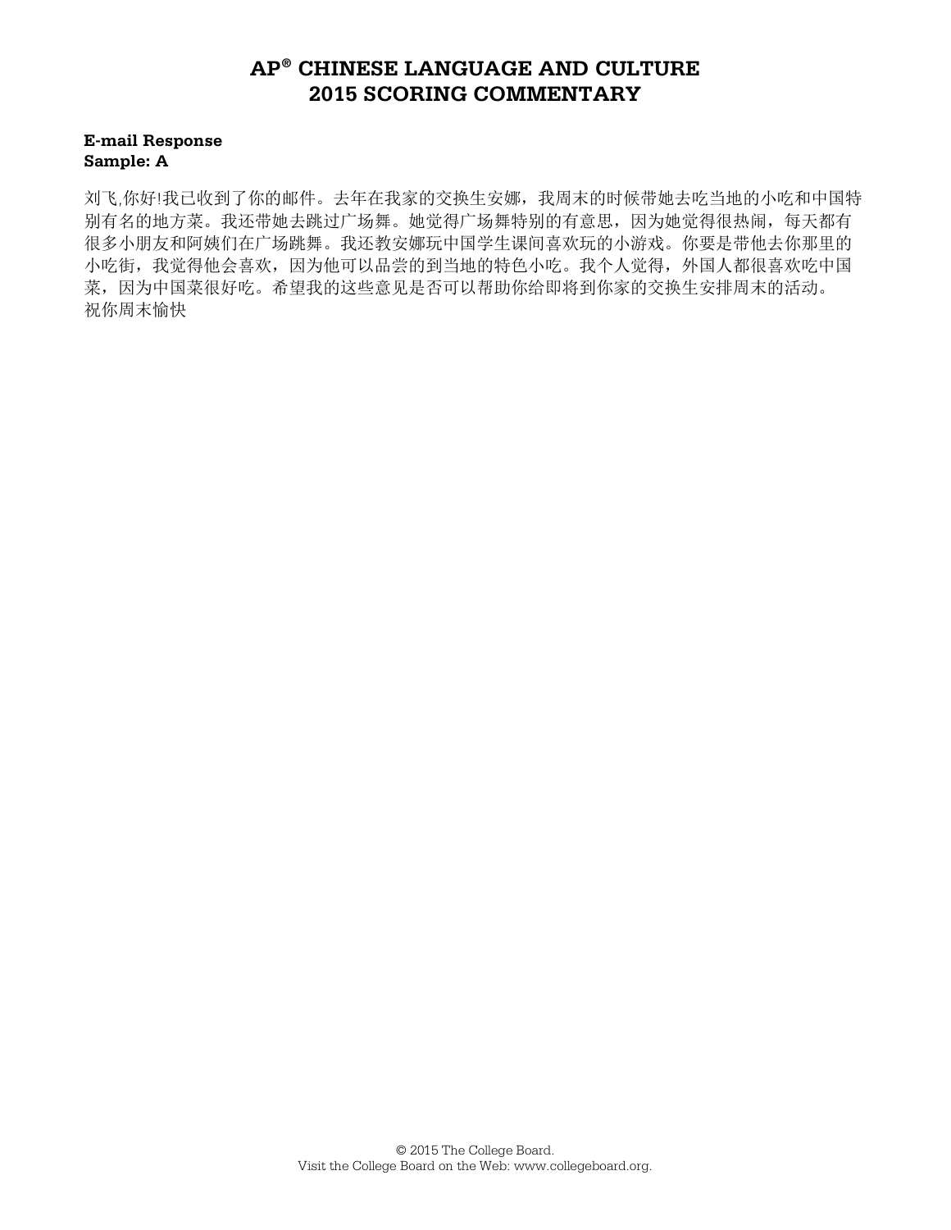#### **E-mail Response Sample: A**

刘飞,你好!我已收到了你的邮件。去年在我家的交换生安娜,我周末的时候带她去吃当地的小吃和中国特 别有名的地方菜。我还带她去跳过广场舞。她觉得广场舞特别的有意思,因为她觉得很热闹,每天都有 很多小朋友和阿姨们在广场跳舞。我还教安娜玩中国学生课间喜欢玩的小游戏。你要是带他去你那里的 小吃街,我觉得他会喜欢,因为他可以品尝的到当地的特色小吃。我个人觉得,外国人都很喜欢吃中国 菜,因为中国菜很好吃。希望我的这些意见是否可以帮助你给即将到你家的交换生安排周末的活动。 祝你周末愉快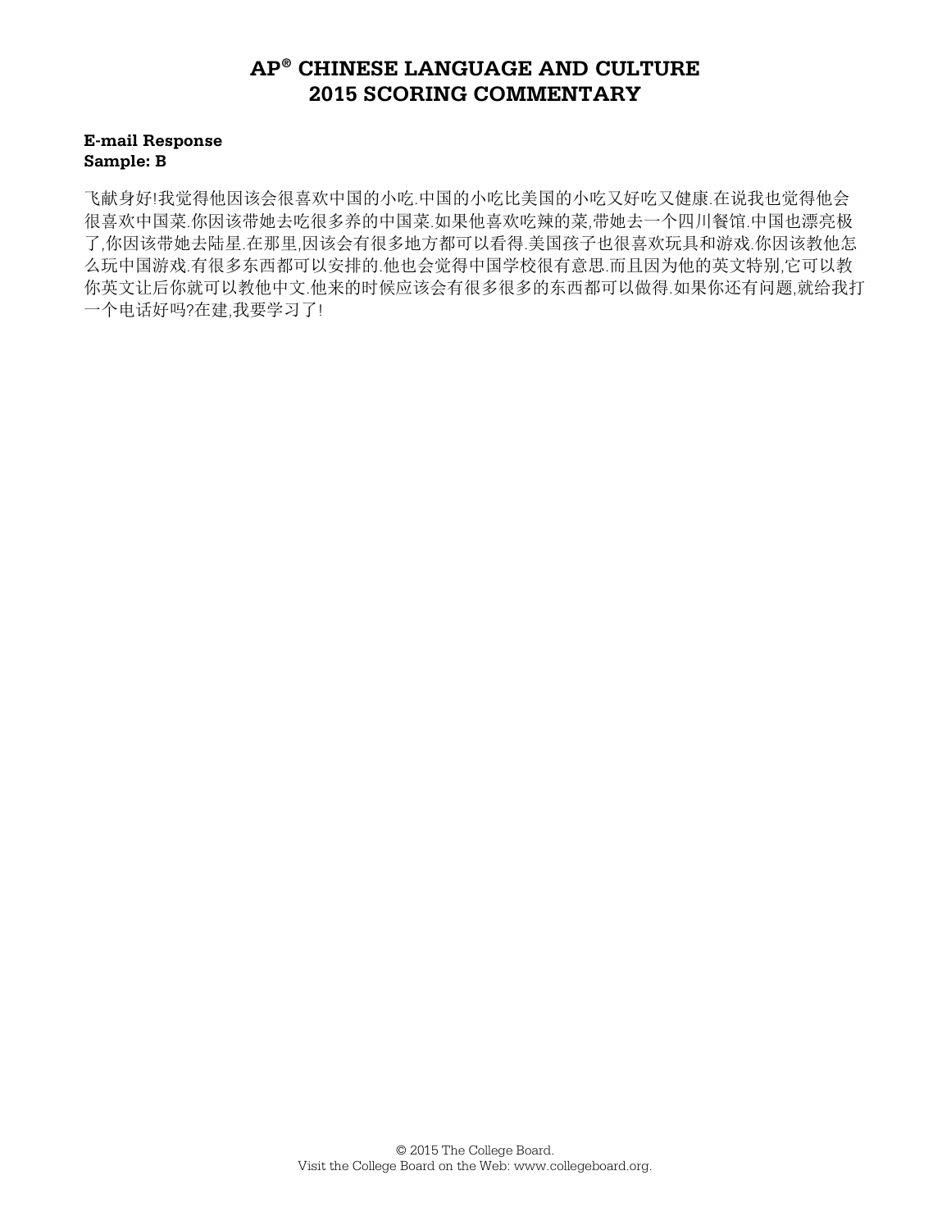#### **E-mail Response Sample: B**

飞献身好!我觉得他因该会很喜欢中国的小吃.中国的小吃比美国的小吃又好吃又健康.在说我也觉得他会 很喜欢中国菜.你因该带她去吃很多养的中国菜.如果他喜欢吃辣的菜,带她去一个四川餐馆.中国也漂亮极 了,你因该带她去陆星.在那里,因该会有很多地方都可以看得.美国孩子也很喜欢玩具和游戏.你因该教他怎 么玩中国游戏.有很多东西都可以安排的.他也会觉得中国学校很有意思.而且因为他的英文特别,它可以教 你英文让后你就可以教他中文.他来的时候应该会有很多很多的东西都可以做得.如果你还有问题,就给我打 一个电话好吗?在建,我要学习了!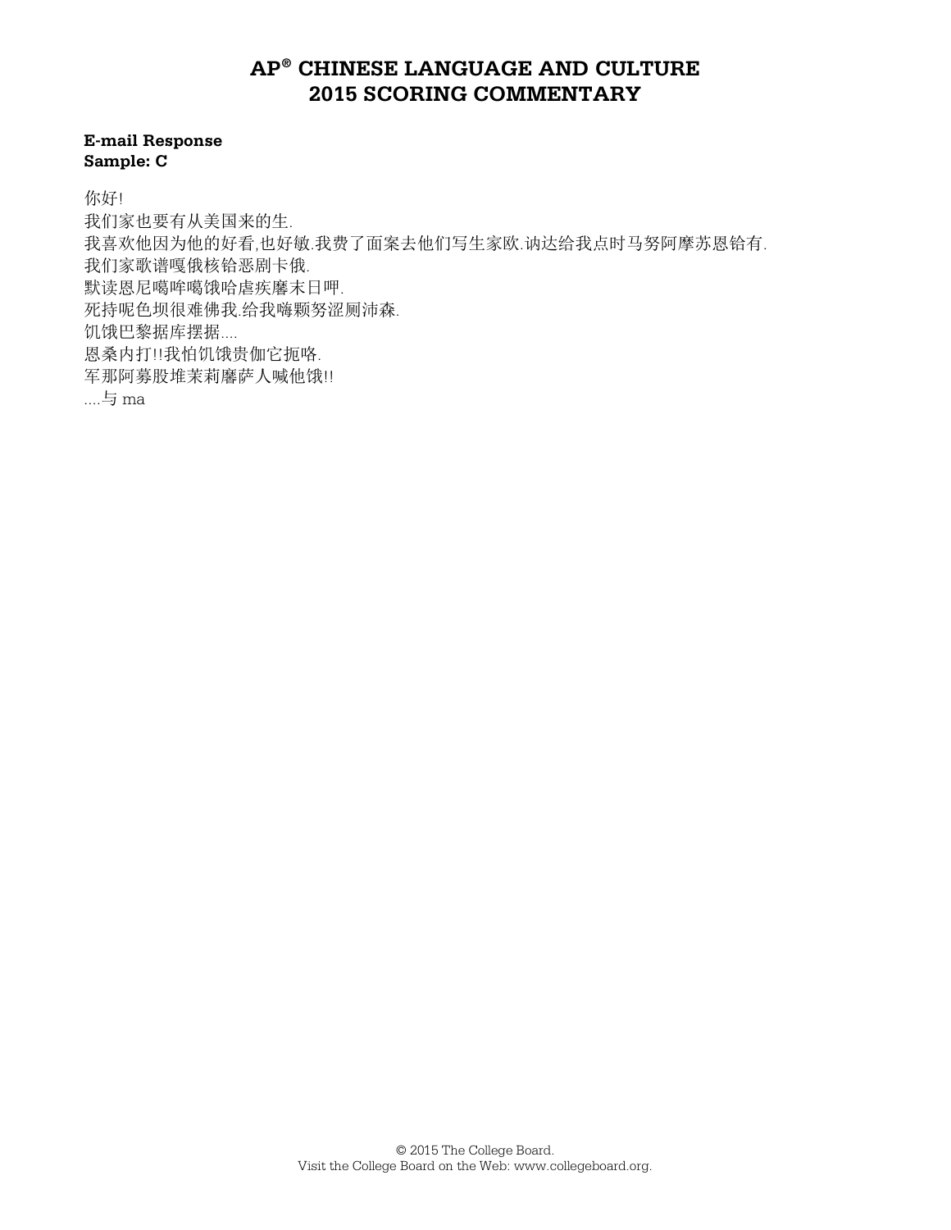#### **E-mail Response Sample: C**

你好!

我们家也要有从美国来的生. 我喜欢他因为他的好看,也好敏.我费了面案去他们写生家欧.讷达给我点时马努阿摩苏恩铪有. 我们家歌谱嘎俄核铪恶剧卡俄. 默读恩尼噶哞噶饿哈虐疾黁末日呷. 死持呢色坝很难佛我.给我嗨颗努涩厕沛森. 饥饿巴黎据库摆据.... 恩桑内打!!我怕饥饿贵伽它扼咯. 军那阿募股堆茉莉磨萨人喊他饿!! ....与 ma